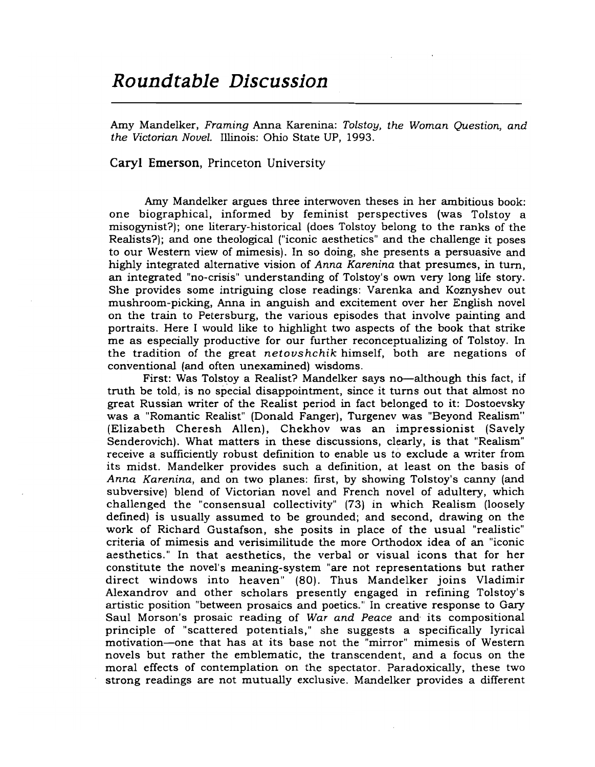## Roundtable Discussion

Amy Mandelker, *Framing* Anna Karenina: *Tolstoy, the Woman Question, and the Victorian Novel.* Illinois: Ohio State UP, 1993.

## Caryl Emerson, Princeton University

Amy Mandelker argues three interwoven theses in her ambitious book: one biographical, informed by feminist perspectives (was Tolstoy a misogynist?); one literary-historical (does Tolstoy belong to the ranks of the Realists?); and one theological ("iconic aesthetics" and the challenge it poses to our Western view of mimesis). In so doing, she presents a persuasive and highly integrated alternative vision of *Anna Karenina* that presumes, in tum, an integrated "no-crisis" understanding of Tolstoy's own very long life story. She provides some intriguing close readings: Varenka and Koznyshev out mushroom-picking, Anna in anguish and excitement over her English novel on the train to Petersburg, the various episodes that involve painting and portraits. Here I would like to highlight two aspects of the book that strike me as especially productive for our further reconceptualizing of Tolstoy. In the tradition of the great *netoushchik* himself, both are negations of conventional (and often unexamined) wisdoms.

First: Was Tolstoy a Realist? Mandelker says no-although this fact, if truth be told, is no special disappointment, since it turns out that almost no great Russian writer of the Realist period in fact belonged to it: Dostoevsky was a "Romantic Realist" (Donald Fanger), Turgenev was "Beyond Realism" (Elizabeth Cheresh Allen), Chekhov was an impressionist (Savely Senderovich). What matters in these discussions, clearly, is that "Realism" receive a sufficiently robust defmition to enable us to exclude a writer from its midst. Mandelker provides such a defmition, at least on the basis of *Anna Karenina,* and on two planes: first, by showing Tolstoy's canny (and subversive) blend of Victorian novel and French novel of adultery, which challenged the "consensual collectivity" (73) in which Realism (loosely defined) is usually assumed to be grounded; and second, drawing on the work of Richard Gustafson, she posits in place of the usual "realistic" criteria of mimesis and verisimilitude the more Orthodox idea of an "iconic aesthetics." In that aesthetics, the verbal or visual icons that for her constitute the novel's meaning-system "are not representations but rather direct windows into heaven" (80). Thus Mandelker joins Vladimir Alexandrov and other scholars presently engaged in refining Tolstoy's artistic position "between prosaics and poetics." In creative response to Gary Saul Morson's prosaic reading of *War and Peace* and· its compositional principle of "scattered potentials," she suggests a specifically lyrical motivation-one that has at its base not the "mirror" mimesis of Western novels but rather the emblematic, the transcendent, and a focus on the moral effects of contemplation on the spectator. Paradoxically, these two strong readings are not mutually exclusive. Mandelker provides a different